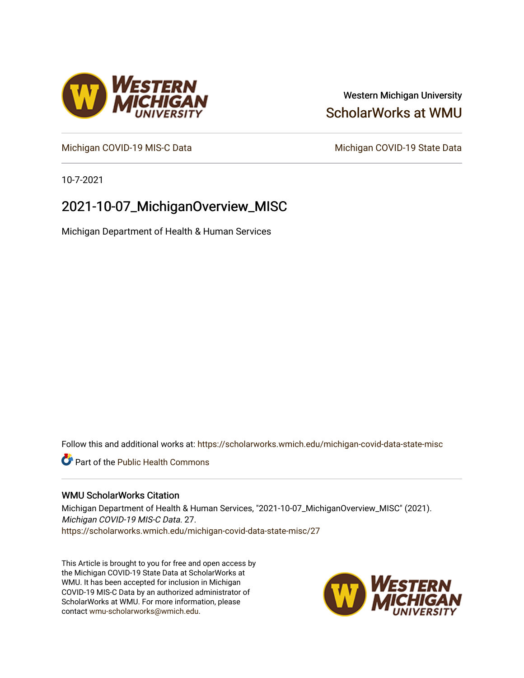## Western Michigan University [ScholarWorks at WMU](https://scholarworks.wmich.edu/)

[Michigan COVID-19 MIS-C Data](https://scholarworks.wmich.edu/michigan-covid-data-state-misc) Michigan COVID-19 State Data

10-7-2021

# 2021-10-07\_MichiganOverview\_MISC

Michigan Department of Health & Human Services

Follow this and additional works at: [https://scholarworks.wmich.edu/michigan-covid-data-state-misc](https://scholarworks.wmich.edu/michigan-covid-data-state-misc?utm_source=scholarworks.wmich.edu%2Fmichigan-covid-data-state-misc%2F27&utm_medium=PDF&utm_campaign=PDFCoverPages) 

**Part of the Public Health Commons** 

#### WMU ScholarWorks Citation

Michigan Department of Health & Human Services, "2021-10-07\_MichiganOverview\_MISC" (2021). Michigan COVID-19 MIS-C Data. 27. [https://scholarworks.wmich.edu/michigan-covid-data-state-misc/27](https://scholarworks.wmich.edu/michigan-covid-data-state-misc/27?utm_source=scholarworks.wmich.edu%2Fmichigan-covid-data-state-misc%2F27&utm_medium=PDF&utm_campaign=PDFCoverPages)

This Article is brought to you for free and open access by the Michigan COVID-19 State Data at ScholarWorks at WMU. It has been accepted for inclusion in Michigan COVID-19 MIS-C Data by an authorized administrator of ScholarWorks at WMU. For more information, please contact [wmu-scholarworks@wmich.edu](mailto:wmu-scholarworks@wmich.edu).



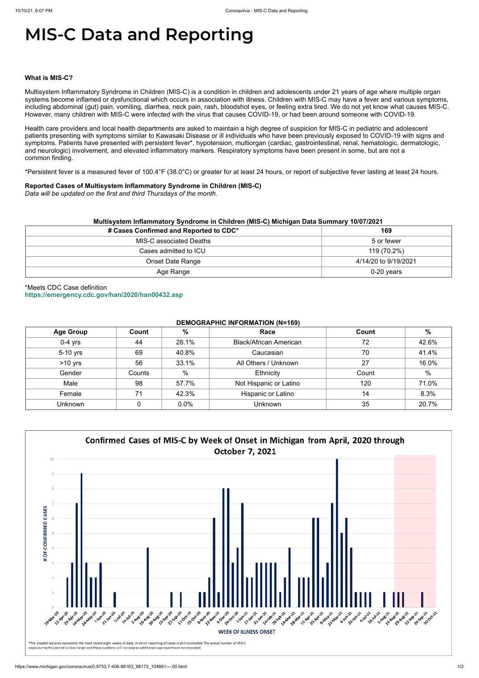# **MIS-C Data and Reporting**

#### **What is MIS-C?**

Multisystem Inflammatory Syndrome in Children (MIS-C) is a condition in children and adolescents under 21 years of age where multiple organ systems become inflamed or dysfunctional which occurs in association with illness. Children with MIS-C may have a fever and various symptoms, including abdominal (gut) pain, vomiting, diarrhea, neck pain, rash, bloodshot eyes, or feeling extra tired. We do not yet know what causes MIS-C. However, many children with MIS-C were infected with the virus that causes COVID-19, or had been around someone with COVID-19.

Health care providers and local health departments are asked to maintain a high degree of suspicion for MIS-C in pediatric and adolescent patients presenting with symptoms similar to Kawasaki Disease or ill individuals who have been previously exposed to COVID-19 with signs and symptoms. Patients have presented with persistent fever\*, hypotension, multiorgan (cardiac, gastrointestinal, renal, hematologic, dermatologic, and neurologic) involvement, and elevated inflammatory markers. Respiratory symptoms have been present in some, but are not a common finding.

\*Persistent fever is a measured fever of 100.4°F (38.0°C) or greater for at least 24 hours, or report of subjective fever lasting at least 24 hours.

#### **Reported Cases of Multisystem Inflammatory Syndrome in Children (MIS-C)**

*Data will be updated on the first and third Thursdays of the month.*

|  | Multisystem Inflammatory Syndrome in Children (MIS-C) Michigan Data Summary 10/07/2021 |  |  |
|--|----------------------------------------------------------------------------------------|--|--|
|--|----------------------------------------------------------------------------------------|--|--|

| # Cases Confirmed and Reported to CDC* | 169                  |  |
|----------------------------------------|----------------------|--|
| MIS-C associated Deaths                | 5 or fewer           |  |
| Cases admitted to ICU                  | 119 (70.2%)          |  |
| <b>Onset Date Range</b>                | 4/14/20 to 9/19/2021 |  |
| Age Range                              | 0-20 years           |  |

\*Meets CDC Case definition **<https://emergency.cdc.gov/han/2020/han00432.asp>**

#### **DEMOGRAPHIC INFORMATION (N=169)**

| <b>Age Group</b> | Count  | %             | Race                          | Count | $\frac{0}{0}$ |
|------------------|--------|---------------|-------------------------------|-------|---------------|
| $0-4$ yrs        | 44     | 26.1%         | <b>Black/African American</b> | 72    | 42.6%         |
| 5-10 yrs         | 69     | 40.8%         | Caucasian                     | 70    | 41.4%         |
| $>10$ yrs        | 56     | 33.1%         | All Others / Unknown          | 27    | 16.0%         |
| Gender           | Counts | $\frac{0}{0}$ | Ethnicity                     | Count | $\%$          |
| Male             | 98     | 57.7%         | Not Hispanic or Latino        | 120   | 71.0%         |
| Female           | 71     | 42.3%         | Hispanic or Latino            | 14    | 8.3%          |
| Unknown          |        | 0.0%          | <b>Unknown</b>                | 35    | 20.7%         |